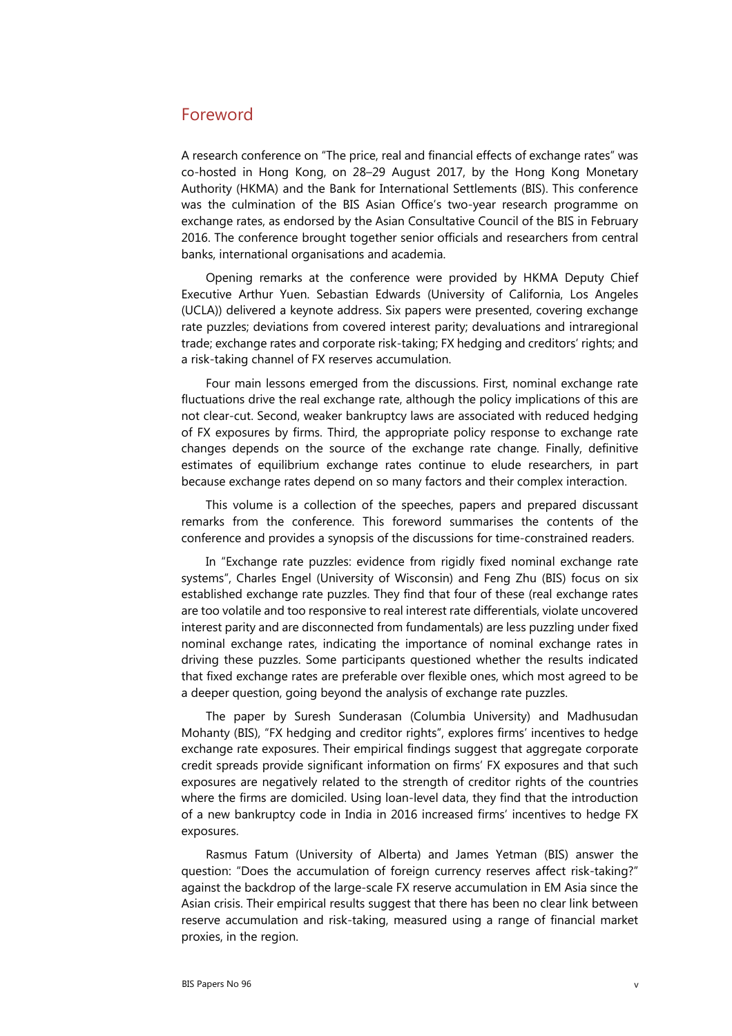## Foreword

A research conference on "The price, real and financial effects of exchange rates" was co-hosted in Hong Kong, on 28–29 August 2017, by the Hong Kong Monetary Authority (HKMA) and the Bank for International Settlements (BIS). This conference was the culmination of the BIS Asian Office's two-year research programme on exchange rates, as endorsed by the Asian Consultative Council of the BIS in February 2016. The conference brought together senior officials and researchers from central banks, international organisations and academia.

Opening remarks at the conference were provided by HKMA Deputy Chief Executive Arthur Yuen. Sebastian Edwards (University of California, Los Angeles (UCLA)) delivered a keynote address. Six papers were presented, covering exchange rate puzzles; deviations from covered interest parity; devaluations and intraregional trade; exchange rates and corporate risk-taking; FX hedging and creditors' rights; and a risk-taking channel of FX reserves accumulation.

Four main lessons emerged from the discussions. First, nominal exchange rate fluctuations drive the real exchange rate, although the policy implications of this are not clear-cut. Second, weaker bankruptcy laws are associated with reduced hedging of FX exposures by firms. Third, the appropriate policy response to exchange rate changes depends on the source of the exchange rate change. Finally, definitive estimates of equilibrium exchange rates continue to elude researchers, in part because exchange rates depend on so many factors and their complex interaction.

This volume is a collection of the speeches, papers and prepared discussant remarks from the conference. This foreword summarises the contents of the conference and provides a synopsis of the discussions for time-constrained readers.

In "Exchange rate puzzles: evidence from rigidly fixed nominal exchange rate systems", Charles Engel (University of Wisconsin) and Feng Zhu (BIS) focus on six established exchange rate puzzles. They find that four of these (real exchange rates are too volatile and too responsive to real interest rate differentials, violate uncovered interest parity and are disconnected from fundamentals) are less puzzling under fixed nominal exchange rates, indicating the importance of nominal exchange rates in driving these puzzles. Some participants questioned whether the results indicated that fixed exchange rates are preferable over flexible ones, which most agreed to be a deeper question, going beyond the analysis of exchange rate puzzles.

The paper by Suresh Sunderasan (Columbia University) and Madhusudan Mohanty (BIS), "FX hedging and creditor rights", explores firms' incentives to hedge exchange rate exposures. Their empirical findings suggest that aggregate corporate credit spreads provide significant information on firms' FX exposures and that such exposures are negatively related to the strength of creditor rights of the countries where the firms are domiciled. Using loan-level data, they find that the introduction of a new bankruptcy code in India in 2016 increased firms' incentives to hedge FX exposures.

<span id="page-0-0"></span>Rasmus Fatum (University of Alberta) and James Yetman (BIS) answer the question: "Does the accumulation of foreign currency reserves affect risk-taking?" against the backdrop of the large-scale FX reserve accumulation in EM Asia since the Asian crisis. Their empirical results suggest that there has been no clear link between reserve accumulation and risk-taking, measured using a range of financial market proxies, in the region.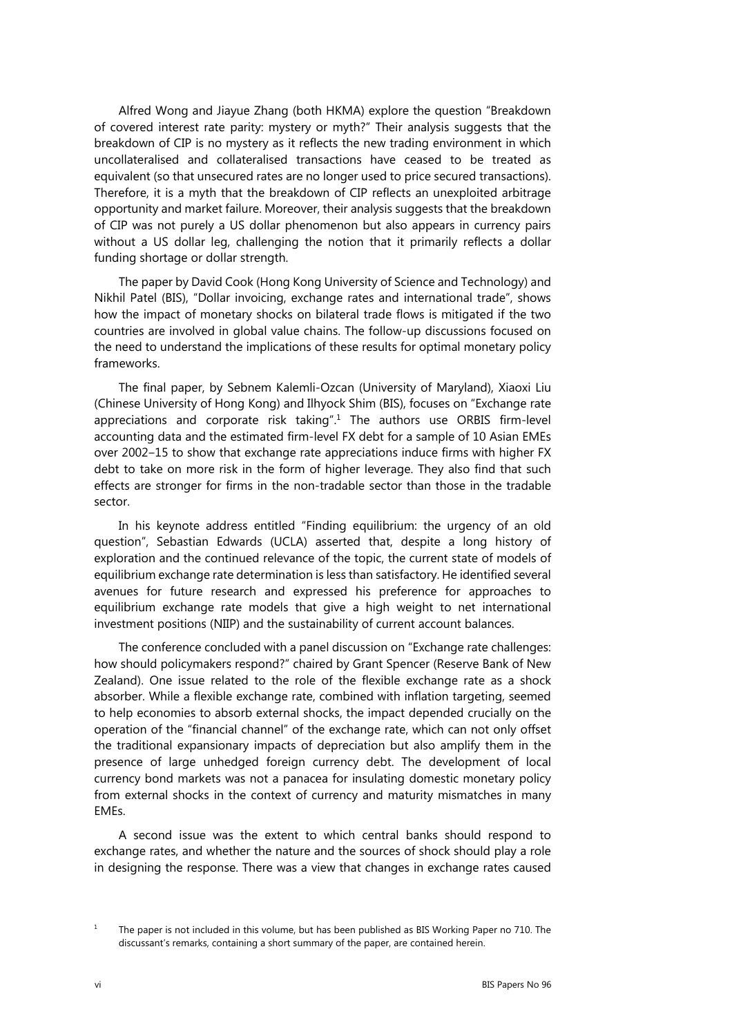Alfred Wong and Jiayue Zhang (both HKMA) explore the question "Breakdown of covered interest rate parity: mystery or myth?" Their analysis suggests that the breakdown of CIP is no mystery as it reflects the new trading environment in which uncollateralised and collateralised transactions have ceased to be treated as equivalent (so that unsecured rates are no longer used to price secured transactions). Therefore, it is a myth that the breakdown of CIP reflects an unexploited arbitrage opportunity and market failure. Moreover, their analysis suggests that the breakdown of CIP was not purely a US dollar phenomenon but also appears in currency pairs without a US dollar leg, challenging the notion that it primarily reflects a dollar funding shortage or dollar strength.

The paper by David Cook (Hong Kong University of Science and Technology) and Nikhil Patel (BIS), "Dollar invoicing, exchange rates and international trade", shows how the impact of monetary shocks on bilateral trade flows is mitigated if the two countries are involved in global value chains. The follow-up discussions focused on the need to understand the implications of these results for optimal monetary policy frameworks.

The final paper, by Sebnem Kalemli-Ozcan (University of Maryland), Xiaoxi Liu (Chinese University of Hong Kong) and Ilhyock Shim (BIS), focuses on "Exchange rate appreciations and corporate risk taking".<sup>[1](#page-0-0)</sup> The authors use ORBIS firm-level accounting data and the estimated firm-level FX debt for a sample of 10 Asian EMEs over 2002–15 to show that exchange rate appreciations induce firms with higher FX debt to take on more risk in the form of higher leverage. They also find that such effects are stronger for firms in the non-tradable sector than those in the tradable sector.

In his keynote address entitled "Finding equilibrium: the urgency of an old question", Sebastian Edwards (UCLA) asserted that, despite a long history of exploration and the continued relevance of the topic, the current state of models of equilibrium exchange rate determination is less than satisfactory. He identified several avenues for future research and expressed his preference for approaches to equilibrium exchange rate models that give a high weight to net international investment positions (NIIP) and the sustainability of current account balances.

The conference concluded with a panel discussion on "Exchange rate challenges: how should policymakers respond?" chaired by Grant Spencer (Reserve Bank of New Zealand). One issue related to the role of the flexible exchange rate as a shock absorber. While a flexible exchange rate, combined with inflation targeting, seemed to help economies to absorb external shocks, the impact depended crucially on the operation of the "financial channel" of the exchange rate, which can not only offset the traditional expansionary impacts of depreciation but also amplify them in the presence of large unhedged foreign currency debt. The development of local currency bond markets was not a panacea for insulating domestic monetary policy from external shocks in the context of currency and maturity mismatches in many EMEs.

A second issue was the extent to which central banks should respond to exchange rates, and whether the nature and the sources of shock should play a role in designing the response. There was a view that changes in exchange rates caused

<sup>1</sup>

The paper is not included in this volume, but has been published as BIS Working Paper no 710. The discussant's remarks, containing a short summary of the paper, are contained herein.